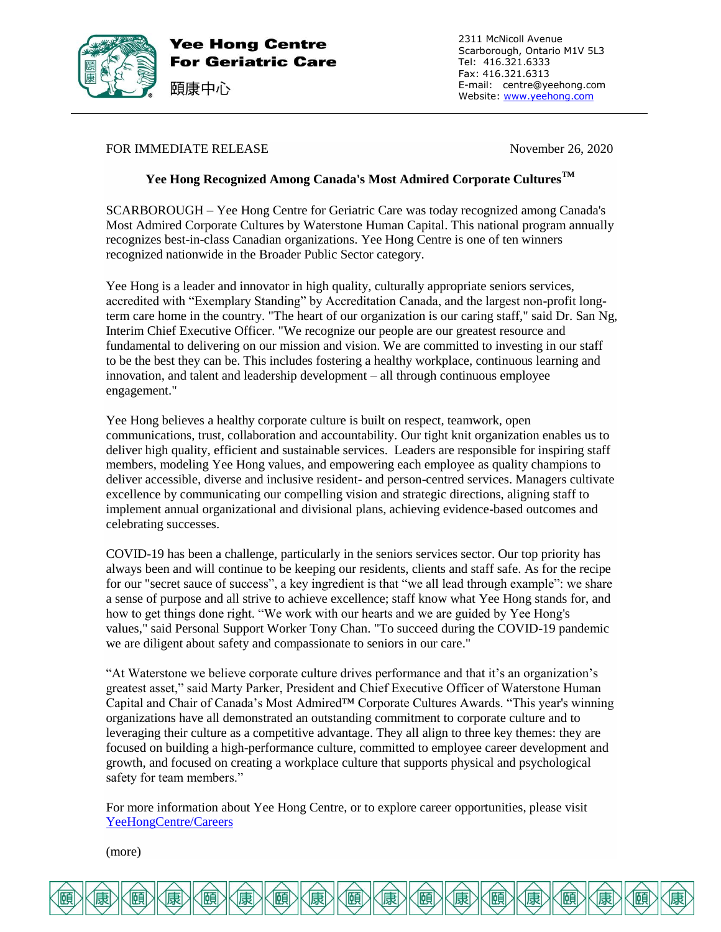

Yee Hong Centre **For Geriatric Care**  2311 McNicoll Avenue Scarborough, Ontario M1V 5L3 Tel: 416.321.6333 Fax: 416.321.6313 E-mail: centre@yeehong.com Website: [www.yeehong.com](http://www.yeehong.com/)

## FOR IMMEDIATE RELEASE November 26, 2020

頤康中心

# **Yee Hong Recognized Among Canada's Most Admired Corporate CulturesTM**

SCARBOROUGH – Yee Hong Centre for Geriatric Care was today recognized among Canada's Most Admired Corporate Cultures by Waterstone Human Capital. This national program annually recognizes best-in-class Canadian organizations. Yee Hong Centre is one of ten winners recognized nationwide in the Broader Public Sector category.

Yee Hong is a leader and innovator in high quality, culturally appropriate seniors services, accredited with "Exemplary Standing" by Accreditation Canada, and the largest non-profit longterm care home in the country. "The heart of our organization is our caring staff," said Dr. San Ng, Interim Chief Executive Officer. "We recognize our people are our greatest resource and fundamental to delivering on our mission and vision. We are committed to investing in our staff to be the best they can be. This includes fostering a healthy workplace, continuous learning and innovation, and talent and leadership development – all through continuous employee engagement."

Yee Hong believes a healthy corporate culture is built on respect, teamwork, open communications, trust, collaboration and accountability. Our tight knit organization enables us to deliver high quality, efficient and sustainable services. Leaders are responsible for inspiring staff members, modeling Yee Hong values, and empowering each employee as quality champions to deliver accessible, diverse and inclusive resident- and person-centred services. Managers cultivate excellence by communicating our compelling vision and strategic directions, aligning staff to implement annual organizational and divisional plans, achieving evidence-based outcomes and celebrating successes.

COVID-19 has been a challenge, particularly in the seniors services sector. Our top priority has always been and will continue to be keeping our residents, clients and staff safe. As for the recipe for our "secret sauce of success", a key ingredient is that "we all lead through example": we share a sense of purpose and all strive to achieve excellence; staff know what Yee Hong stands for, and how to get things done right. "We work with our hearts and we are guided by Yee Hong's values," said Personal Support Worker Tony Chan. "To succeed during the COVID-19 pandemic we are diligent about safety and compassionate to seniors in our care."

"At Waterstone we believe corporate culture drives performance and that it's an organization's greatest asset," said Marty Parker, President and Chief Executive Officer of Waterstone Human Capital and Chair of Canada's Most Admired™ Corporate Cultures Awards. "This year's winning organizations have all demonstrated an outstanding commitment to corporate culture and to leveraging their culture as a competitive advantage. They all align to three key themes: they are focused on building a high-performance culture, committed to employee career development and growth, and focused on creating a workplace culture that supports physical and psychological safety for team members."

For more information about Yee Hong Centre, or to explore career opportunities, please visit [YeeHongCentre/Careers](https://www.yeehong.com/centre/careers/)

(more)